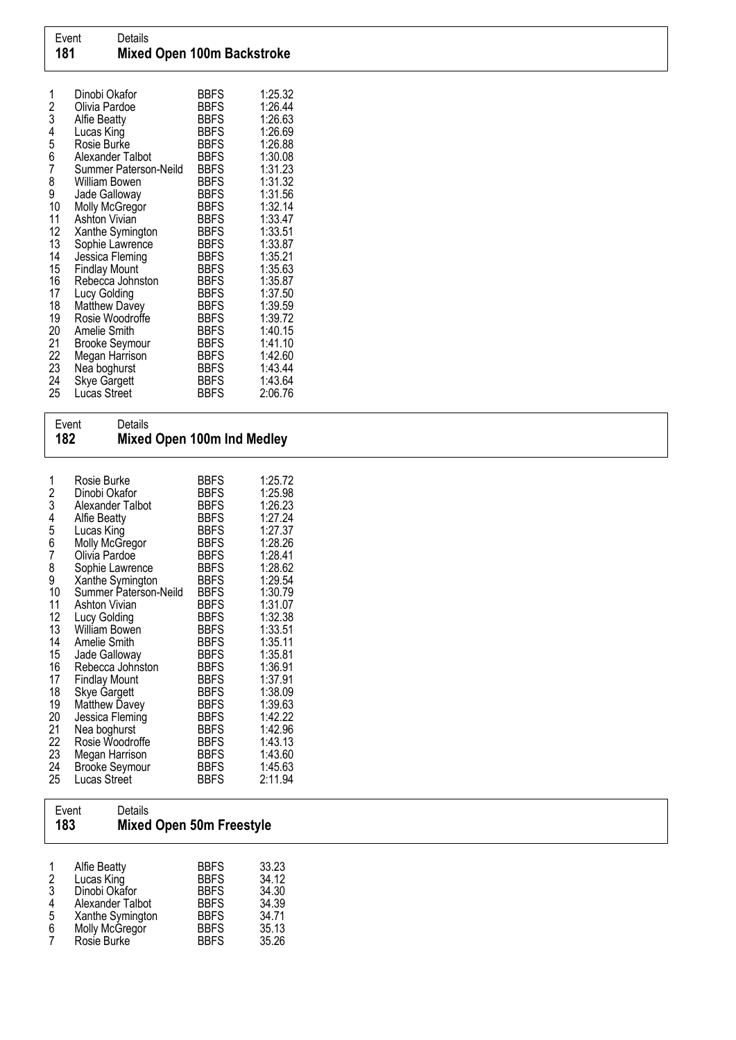| 1<br>2<br>3<br>4<br>5<br>6<br>7<br>8 | Dinobi Okafor<br>Olivia Pardoe<br>Alfie Beatty<br>Lucas King<br>Rosie Burke<br>Alexander Talbot<br>Summer Paterson-Neild<br>William Bowen | <b>BBFS</b><br><b>BBFS</b><br><b>BBFS</b><br><b>BBFS</b><br><b>BBFS</b><br><b>BBFS</b><br><b>BBFS</b><br><b>BBFS</b> | 1:25.32<br>1:26.44<br>1:26.63<br>1:26.69<br>1:26.88<br>1:30.08<br>1:31.23<br>1:31.32 |
|--------------------------------------|-------------------------------------------------------------------------------------------------------------------------------------------|----------------------------------------------------------------------------------------------------------------------|--------------------------------------------------------------------------------------|
| 9<br>10                              | Jade Galloway                                                                                                                             | <b>BBFS</b><br><b>BBFS</b>                                                                                           | 1:31.56<br>1:32.14                                                                   |
| 11                                   | Molly McGregor<br>Ashton Vivian                                                                                                           | <b>BBFS</b>                                                                                                          | 1:33.47                                                                              |
| 12                                   | Xanthe Symington                                                                                                                          | <b>BBFS</b>                                                                                                          | 1:33.51                                                                              |
| 13                                   | Sophie Lawrence                                                                                                                           | <b>BBFS</b>                                                                                                          | 1:33.87                                                                              |
| 14                                   | Jessica Fleming                                                                                                                           | <b>BBFS</b>                                                                                                          | 1:35.21                                                                              |
| 15                                   | <b>Findlay Mount</b>                                                                                                                      | <b>BBFS</b>                                                                                                          | 1:35.63                                                                              |
| 16                                   | Rebecca Johnston                                                                                                                          | <b>BBFS</b>                                                                                                          | 1:35.87                                                                              |
| 17                                   | Lucy Golding                                                                                                                              | <b>BBFS</b>                                                                                                          | 1:37.50                                                                              |
| 18                                   | <b>Matthew Davey</b>                                                                                                                      | <b>BBFS</b>                                                                                                          | 1:39.59                                                                              |
| 19                                   | Rosie Woodroffe                                                                                                                           | <b>BBFS</b>                                                                                                          | 1:39.72                                                                              |
| 20                                   | Amelie Smith                                                                                                                              | <b>BBFS</b>                                                                                                          | 1:40.15                                                                              |
| 21                                   | <b>Brooke Seymour</b>                                                                                                                     | <b>BBFS</b>                                                                                                          | 1:41.10                                                                              |
| 22                                   | Megan Harrison                                                                                                                            | <b>BBFS</b>                                                                                                          | 1:42.60                                                                              |
| 23                                   | Nea boghurst                                                                                                                              | <b>BBFS</b>                                                                                                          | 1:43.44                                                                              |
| 24                                   | <b>Skye Gargett</b>                                                                                                                       | <b>BBFS</b>                                                                                                          | 1:43.64                                                                              |
| 25                                   | Lucas Street                                                                                                                              | <b>BBFS</b>                                                                                                          | 2:06.76                                                                              |

| Event<br>182                                                                                                                                           | Details                                                                                                                                                                                                                                                                                                                                                                                                                                                                                        | Mixed Open 100m Ind Medley                                                                                                                                                                                                                                                                                                                                                          |                                                                                                                                                                                                                                                                                 |  |  |
|--------------------------------------------------------------------------------------------------------------------------------------------------------|------------------------------------------------------------------------------------------------------------------------------------------------------------------------------------------------------------------------------------------------------------------------------------------------------------------------------------------------------------------------------------------------------------------------------------------------------------------------------------------------|-------------------------------------------------------------------------------------------------------------------------------------------------------------------------------------------------------------------------------------------------------------------------------------------------------------------------------------------------------------------------------------|---------------------------------------------------------------------------------------------------------------------------------------------------------------------------------------------------------------------------------------------------------------------------------|--|--|
| 1<br>2<br>3<br>4<br>5<br>$\overline{6}$<br>7<br>8<br>9<br>10<br>11<br>12<br>13<br>14<br>15<br>16<br>17<br>18<br>19<br>20<br>21<br>22<br>23<br>24<br>25 | Rosie Burke<br>Dinobi Okafor<br>Alexander Talbot<br><b>Alfie Beatty</b><br>Lucas King<br>Molly McGregor<br>Olivía Pardoe<br>Sophie Lawrence<br>Xanthe Symington<br>Summer Paterson-Neild<br><b>Ashton Vivian</b><br>Lucy Golding<br>William Bowen<br><b>Amelie Smith</b><br>Jade Galloway<br>Rebecca Johnston<br><b>Findlay Mount</b><br><b>Skye Gargett</b><br>Matthew Davey<br>Jessica Fleming<br>Nea boghurst<br>Rosie Woodroffe<br>Megan Harrison<br><b>Brooke Seymour</b><br>Lucas Street | <b>BBFS</b><br><b>BBFS</b><br><b>BBFS</b><br><b>BBFS</b><br><b>BBFS</b><br><b>BBFS</b><br><b>BBFS</b><br><b>BBFS</b><br><b>BBFS</b><br><b>BBFS</b><br><b>BBFS</b><br><b>BBFS</b><br><b>BBFS</b><br><b>BBFS</b><br><b>BBFS</b><br><b>BBFS</b><br><b>BBFS</b><br><b>BBFS</b><br><b>BBFS</b><br><b>BBFS</b><br><b>BBFS</b><br><b>BBFS</b><br><b>BBFS</b><br><b>BBFS</b><br><b>BBFS</b> | 1:25.72<br>1:25.98<br>1:26.23<br>1:27.24<br>1:27.37<br>1:28.26<br>1:28.41<br>1:28.62<br>1:29.54<br>1:30.79<br>1:31.07<br>1:32.38<br>1:33.51<br>1:35.11<br>1:35.81<br>1:36.91<br>1:37.91<br>1:38.09<br>1:39.63<br>1:42.22<br>1:42.96<br>1:43.13<br>1:43.60<br>1:45.63<br>2:11.94 |  |  |

|                                   | Details<br>Event<br>183                                                                                              | <b>Mixed Open 50m Freestyle</b>                                                                       |                                                             |
|-----------------------------------|----------------------------------------------------------------------------------------------------------------------|-------------------------------------------------------------------------------------------------------|-------------------------------------------------------------|
| 1<br>2<br>$\frac{3}{4}$<br>5<br>6 | Alfie Beatty<br>Lucas King<br>Dinobi Okafor<br>Alexander Talbot<br>Xanthe Symington<br>Molly McGregor<br>Rosie Burke | <b>BBFS</b><br><b>BBFS</b><br><b>BBFS</b><br><b>BBFS</b><br><b>BBFS</b><br><b>BBFS</b><br><b>BBFS</b> | 33.23<br>34.12<br>34.30<br>34.39<br>34.71<br>35.13<br>35.26 |